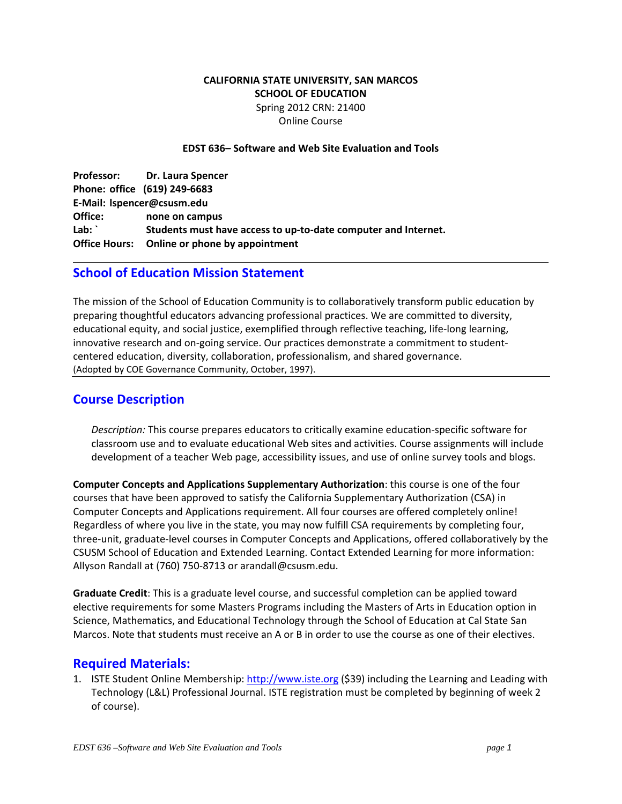### **CALIFORNIA STATE UNIVERSITY, SAN MARCOS SCHOOL OF EDUCATION** Spring 2012 CRN: 21400 Online Course

#### **EDST 636– Software and Web Site Evaluation and Tools**

 **Professor: Dr. Laura Spencer Phone: office (619) 249‐6683 Office: none on campus Lab: ` Students must have access to up‐to‐date computer and Internet. Office Hours: Online or phone by appointment E‐Mail: lspencer@csusm.edu**

## **School of Education Mission Statement**

 The mission of the School of Education Community is to collaboratively transform public education by preparing thoughtful educators advancing professional practices. We are committed to diversity, educational equity, and social justice, exemplified through reflective teaching, life‐long learning, innovative research and on‐going service. Our practices demonstrate a commitment to student‐ centered education, diversity, collaboration, professionalism, and shared governance. (Adopted by COE Governance Community, October, 1997).

 $\mathbf{r} = \mathbf{r} \cdot \mathbf{r}$  , where  $\mathbf{r} = \mathbf{r} \cdot \mathbf{r}$  , where  $\mathbf{r} = \mathbf{r} \cdot \mathbf{r}$  , where  $\mathbf{r} = \mathbf{r} \cdot \mathbf{r}$ 

## **Course Description**

 *Description:* This course prepares educators to critically examine education‐specific software for classroom use and to evaluate educational Web sites and activities. Course assignments will include development of a teacher Web page, accessibility issues, and use of online survey tools and blogs.

 **Computer Concepts and Applications Supplementary Authorization**: this course is one of the four courses that have been approved to satisfy the California Supplementary Authorization (CSA) in Computer Concepts and Applications requirement. All four courses are offered completely online! Regardless of where you live in the state, you may now fulfill CSA requirements by completing four, three‐unit, graduate‐level courses in Computer Concepts and Applications, offered collaboratively by the CSUSM School of Education and Extended Learning. Contact Extended Learning for more information: Allyson Randall at (760) 750‐8713 or arandall@csusm.edu.

 **Graduate Credit**: This is a graduate level course, and successful completion can be applied toward elective requirements for some Masters Programs including the Masters of Arts in Education option in Science, Mathematics, and Educational Technology through the School of Education at Cal State San Marcos. Note that students must receive an A or B in order to use the course as one of their electives.

# **Required Materials:**

1. ISTE Student Online Membership: http://www.iste.org (\$39) including the Learning and Leading with Technology (L&L) Professional Journal. ISTE registration must be completed by beginning of week 2 of course).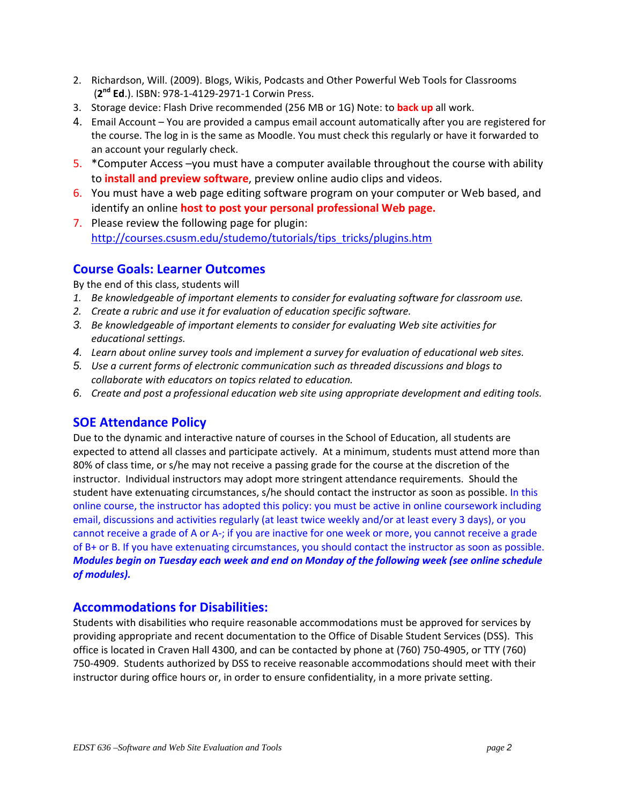- 2. Richardson, Will. (2009). Blogs, Wikis, Podcasts and Other Powerful Web Tools for Classrooms (**2nd Ed**.). ISBN: 978‐1‐4129‐2971‐1 Corwin Press.
- 3. Storage device: Flash Drive recommended (256 MB or 1G) Note: to **back up** all work.
- 4. Email Account You are provided a campus email account automatically after you are registered for the course. The log in is the same as Moodle. You must check this regularly or have it forwarded to an account your regularly check.
- 5. \* Computer Access you must have a computer available throughout the course with ability  to **install and preview software**, preview online audio clips and videos.
- 6. You must have a web page editing software program on your computer or Web based, and  identify an online **host to post your personal professional Web page.**
- 7. Please review the following page for plugin: http://courses.csusm.edu/studemo/tutorials/tips\_tricks/plugins.htm

## **Course Goals: Learner Outcomes**

By the end of this class, students will

- 1. Be knowledgeable of important elements to consider for evaluating software for classroom use.
- *2. Create a rubric and use it for evaluation of education specific software.*
- *3. Be knowledgeable of important elements to consider for evaluating Web site activities for educational settings.*
- 4. Learn about online survey tools and implement a survey for evaluation of educational web sites.
- 5. Use a current forms of electronic communication such as threaded discussions and blogs to  *collaborate with educators on topics related to education.*
- 6. Create and post a professional education web site using appropriate development and editing tools.

# **SOE Attendance Policy**

 Due to the dynamic and interactive nature of courses in the School of Education, all students are expected to attend all classes and participate actively. At a minimum, students must attend more than 80% of class time, or s/he may not receive a passing grade for the course at the discretion of the instructor. Individual instructors may adopt more stringent attendance requirements. Should the student have extenuating circumstances, s/he should contact the instructor as soon as possible. In this online course, the instructor has adopted this policy: you must be active in online coursework including email, discussions and activities regularly (at least twice weekly and/or at least every 3 days), or you cannot receive a grade of A or A‐; if you are inactive for one week or more, you cannot receive a grade of B+ or B. If you have extenuating circumstances, you should contact the instructor as soon as possible. Modules begin on Tuesday each week and end on Monday of the following week (see online schedule  *of modules).*

# **Accommodations for Disabilities:**

 Students with disabilities who require reasonable accommodations must be approved for services by providing appropriate and recent documentation to the Office of Disable Student Services (DSS). This office is located in Craven Hall 4300, and can be contacted by phone at (760) 750‐4905, or TTY (760) 750‐4909. Students authorized by DSS to receive reasonable accommodations should meet with their instructor during office hours or, in order to ensure confidentiality, in a more private setting.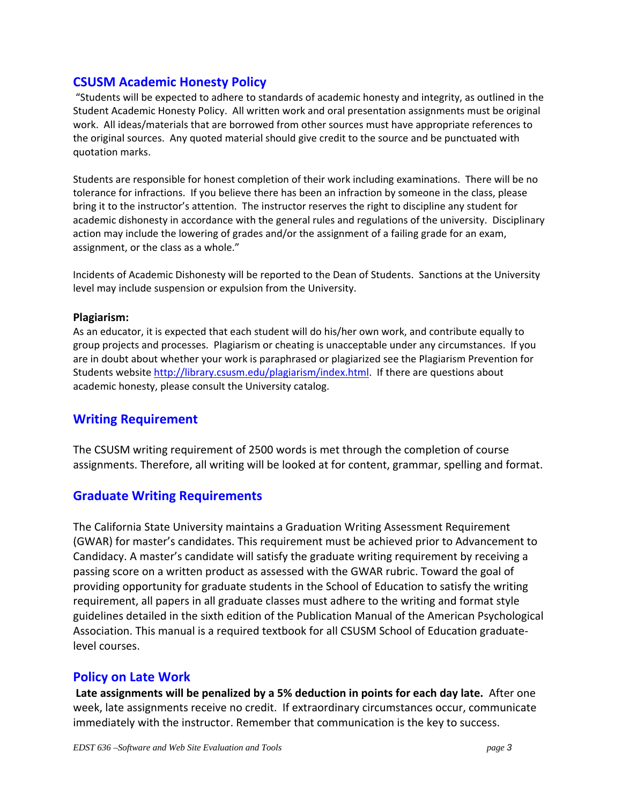## **CSUSM Academic Honesty Policy**

 "Students will be expected to adhere to standards of academic honesty and integrity, as outlined in the Student Academic Honesty Policy. All written work and oral presentation assignments must be original work. All ideas/materials that are borrowed from other sources must have appropriate references to the original sources. Any quoted material should give credit to the source and be punctuated with quotation marks.

 Students are responsible for honest completion of their work including examinations. There will be no tolerance for infractions. If you believe there has been an infraction by someone in the class, please bring it to the instructor's attention. The instructor reserves the right to discipline any student for academic dishonesty in accordance with the general rules and regulations of the university. Disciplinary action may include the lowering of grades and/or the assignment of a failing grade for an exam, assignment, or the class as a whole."

 Incidents of Academic Dishonesty will be reported to the Dean of Students. Sanctions at the University level may include suspension or expulsion from the University.

### **Plagiarism:**

 As an educator, it is expected that each student will do his/her own work, and contribute equally to group projects and processes. Plagiarism or cheating is unacceptable under any circumstances. If you are in doubt about whether your work is paraphrased or plagiarized see the Plagiarism Prevention for Students website http://library.csusm.edu/plagiarism/index.html. If there are questions about academic honesty, please consult the University catalog.

### **Writing Requirement**

 The CSUSM writing requirement of 2500 words is met through the completion of course assignments. Therefore, all writing will be looked at for content, grammar, spelling and format.

# **Graduate Writing Requirements**

 The California State University maintains a Graduation Writing Assessment Requirement (GWAR) for master's candidates. This requirement must be achieved prior to Advancement to Candidacy. A master's candidate will satisfy the graduate writing requirement by receiving a passing score on a written product as assessed with the GWAR rubric. Toward the goal of providing opportunity for graduate students in the School of Education to satisfy the writing requirement, all papers in all graduate classes must adhere to the writing and format style guidelines detailed in the sixth edition of the Publication Manual of the American Psychological Association. This manual is a required textbook for all CSUSM School of Education graduate‐ level courses.

## **Policy on Late Work**

Late assignments will be penalized by a 5% deduction in points for each day late. After one week, late assignments receive no credit. If extraordinary circumstances occur, communicate immediately with the instructor. Remember that communication is the key to success.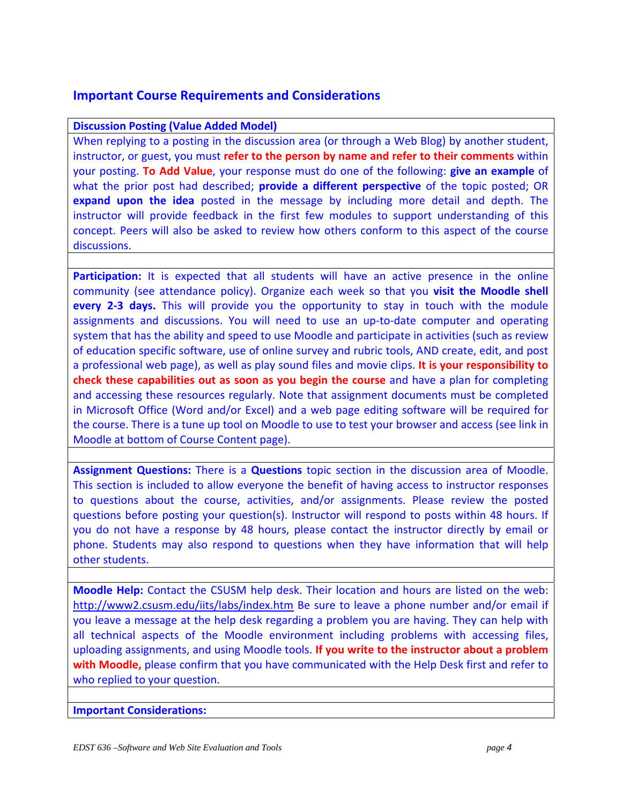# **Important Course Requirements and Considerations**

### **Discussion Posting (Value Added Model)**

 When replying to a posting in the discussion area (or through a Web Blog) by another student,  instructor, or guest, you must **refer to the person by name and refer to their comments** within  your posting. **To Add Value**, your response must do one of the following: **give an example** of  what the prior post had described; **provide a different perspective** of the topic posted; OR  **expand upon the idea** posted in the message by including more detail and depth. The instructor will provide feedback in the first few modules to support understanding of this concept. Peers will also be asked to review how others conform to this aspect of the course discussions.

Participation: It is expected that all students will have an active presence in the online  community (see attendance policy). Organize each week so that you **visit the Moodle shell every 2‐3 days.** This will provide you the opportunity to stay in touch with the module assignments and discussions. You will need to use an up‐to‐date computer and operating system that has the ability and speed to use Moodle and participate in activities (such as review of education specific software, use of online survey and rubric tools, AND create, edit, and post  a professional web page), as well as play sound files and movie clips. **It is your responsibility to check these capabilities out as soon as you begin the course** and have a plan for completing and accessing these resources regularly. Note that assignment documents must be completed in Microsoft Office (Word and/or Excel) and a web page editing software will be required for the course. There is a tune up tool on Moodle to use to test your browser and access (see link in Moodle at bottom of Course Content page).

 **Assignment Questions:** There is a **Questions** topic section in the discussion area of Moodle. This section is included to allow everyone the benefit of having access to instructor responses to questions about the course, activities, and/or assignments. Please review the posted questions before posting your question(s). Instructor will respond to posts within 48 hours. If you do not have a response by 48 hours, please contact the instructor directly by email or phone. Students may also respond to questions when they have information that will help other students.

 **Moodle Help:** Contact the CSUSM help desk. Their location and hours are listed on the web: http://www2.csusm.edu/iits/labs/index.htm Be sure to leave a phone number and/or email if you leave a message at the help desk regarding a problem you are having. They can help with all technical aspects of the Moodle environment including problems with accessing files,  uploading assignments, and using Moodle tools. **If you write to the instructor about a problem with Moodle,** please confirm that you have communicated with the Help Desk first and refer to who replied to your question.

**Important Considerations:**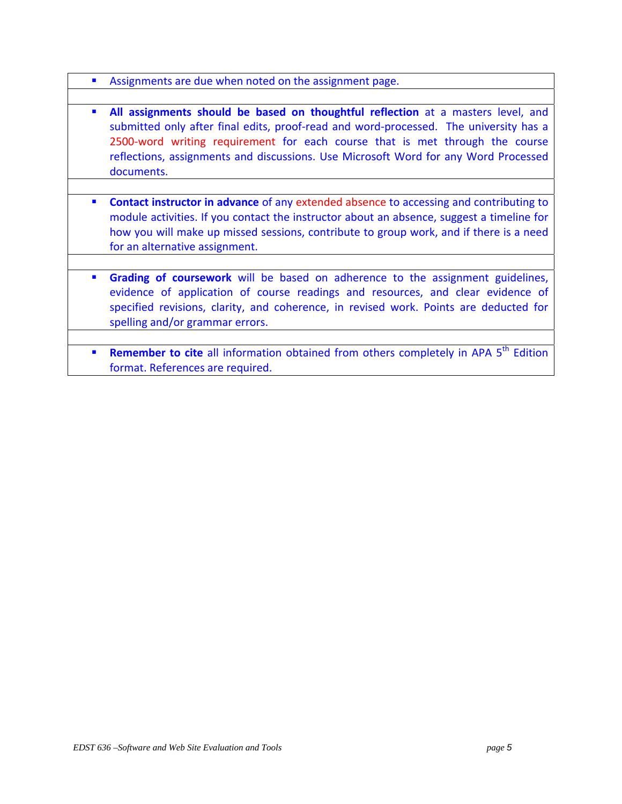- **Assignments are due when noted on the assignment page.**
- **All assignments should be based on thoughtful reflection** at a masters level, and submitted only after final edits, proof-read and word-processed. The university has a 2500-word writing requirement for each course that is met through the course reflections, assignments and discussions. Use Microsoft Word for any Word Processed documents.
- **Contact instructor in advance** of any extended absence to accessing and contributing to module activities. If you contact the instructor about an absence, suggest a timeline for how you will make up missed sessions, contribute to group work, and if there is a need for an alternative assignment.
- **Grading of coursework** will be based on adherence to the assignment guidelines, evidence of application of course readings and resources, and clear evidence of specified revisions, clarity, and coherence, in revised work. Points are deducted for spelling and/or grammar errors.
- **Remember to cite** all information obtained from others completely in APA 5<sup>th</sup> Edition format. References are required.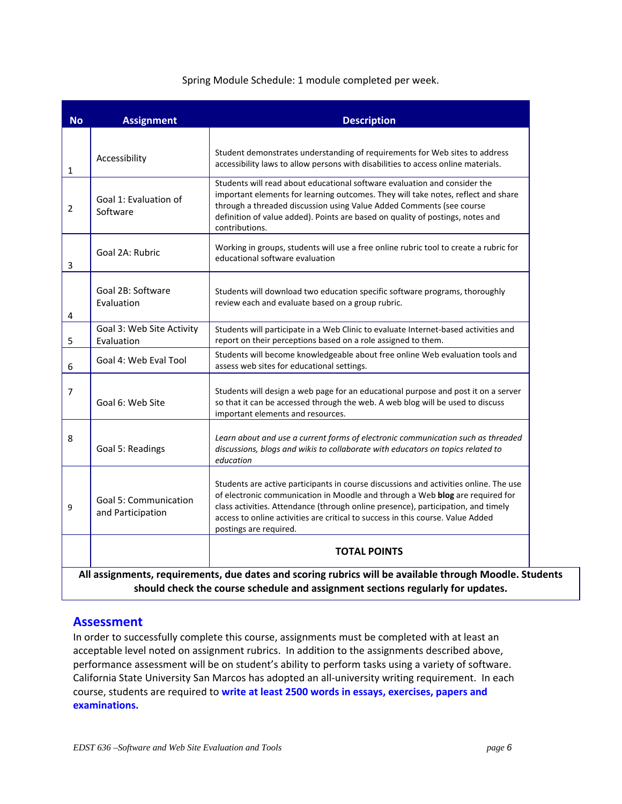#### Spring Module Schedule: 1 module completed per week.

| <b>No</b>      | <b>Assignment</b>                                 | <b>Description</b>                                                                                                                                                                                                                                                                                                                                                       |  |
|----------------|---------------------------------------------------|--------------------------------------------------------------------------------------------------------------------------------------------------------------------------------------------------------------------------------------------------------------------------------------------------------------------------------------------------------------------------|--|
| 1              | Accessibility                                     | Student demonstrates understanding of requirements for Web sites to address<br>accessibility laws to allow persons with disabilities to access online materials.                                                                                                                                                                                                         |  |
| $\overline{2}$ | Goal 1: Evaluation of<br>Software                 | Students will read about educational software evaluation and consider the<br>important elements for learning outcomes. They will take notes, reflect and share<br>through a threaded discussion using Value Added Comments (see course<br>definition of value added). Points are based on quality of postings, notes and<br>contributions.                               |  |
| 3              | Goal 2A: Rubric                                   | Working in groups, students will use a free online rubric tool to create a rubric for<br>educational software evaluation                                                                                                                                                                                                                                                 |  |
| 4              | Goal 2B: Software<br>Evaluation                   | Students will download two education specific software programs, thoroughly<br>review each and evaluate based on a group rubric.                                                                                                                                                                                                                                         |  |
| 5              | Goal 3: Web Site Activity<br>Evaluation           | Students will participate in a Web Clinic to evaluate Internet-based activities and<br>report on their perceptions based on a role assigned to them.                                                                                                                                                                                                                     |  |
| 6              | Goal 4: Web Eval Tool                             | Students will become knowledgeable about free online Web evaluation tools and<br>assess web sites for educational settings.                                                                                                                                                                                                                                              |  |
| $\overline{7}$ | Goal 6: Web Site                                  | Students will design a web page for an educational purpose and post it on a server<br>so that it can be accessed through the web. A web blog will be used to discuss<br>important elements and resources.                                                                                                                                                                |  |
| 8              | Goal 5: Readings                                  | Learn about and use a current forms of electronic communication such as threaded<br>discussions, blogs and wikis to collaborate with educators on topics related to<br>education                                                                                                                                                                                         |  |
| 9              | <b>Goal 5: Communication</b><br>and Participation | Students are active participants in course discussions and activities online. The use<br>of electronic communication in Moodle and through a Web blog are required for<br>class activities. Attendance (through online presence), participation, and timely<br>access to online activities are critical to success in this course. Value Added<br>postings are required. |  |
|                |                                                   | <b>TOTAL POINTS</b>                                                                                                                                                                                                                                                                                                                                                      |  |

### **Assessment**

 In order to successfully complete this course, assignments must be completed with at least an acceptable level noted on assignment rubrics. In addition to the assignments described above, performance assessment will be on student's ability to perform tasks using a variety of software. California State University San Marcos has adopted an all‐university writing requirement. In each  course, students are required to **write at least 2500 words in essays, exercises, papers and examinations.**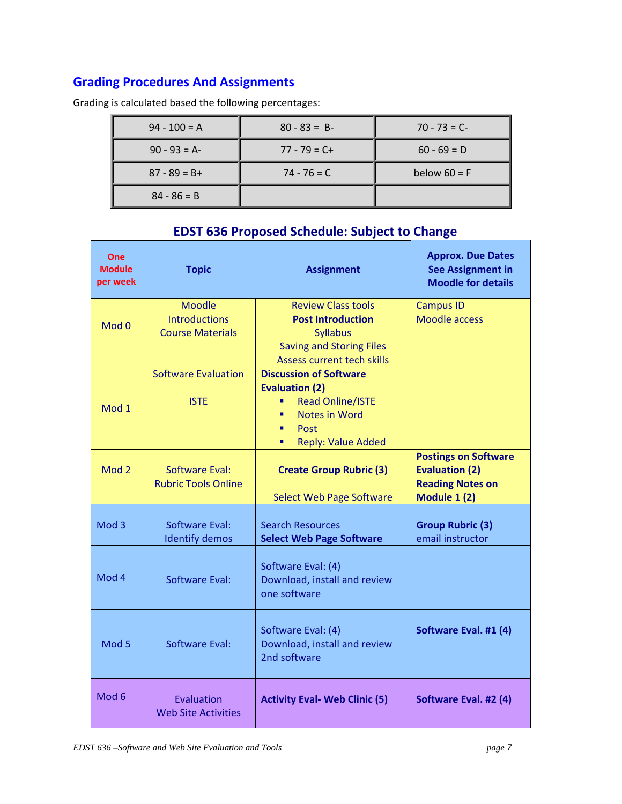# **Grading Procedures And Assignments**

Grading is calculated based the following percentages:

| $94 - 100 = A$  | $80 - 83 = B$   | $70 - 73 = C$  |
|-----------------|-----------------|----------------|
| $90 - 93 = A$   | $77 - 79 = C +$ | $60 - 69 = D$  |
| $87 - 89 = B +$ | $74 - 76 = C$   | below $60 = F$ |
| $84 - 86 = B$   |                 |                |

| One<br><b>Module</b><br>per week | <b>Topic</b>                                                     | <b>Assignment</b>                                                                                                                                             | <b>Approx. Due Dates</b><br><b>See Assignment in</b><br><b>Moodle for details</b>               |
|----------------------------------|------------------------------------------------------------------|---------------------------------------------------------------------------------------------------------------------------------------------------------------|-------------------------------------------------------------------------------------------------|
| Mod 0                            | <b>Moodle</b><br><b>Introductions</b><br><b>Course Materials</b> | <b>Review Class tools</b><br><b>Post Introduction</b><br><b>Syllabus</b><br><b>Saving and Storing Files</b><br><b>Assess current tech skills</b>              | <b>Campus ID</b><br><b>Moodle access</b>                                                        |
| Mod 1                            | <b>Software Evaluation</b><br><b>ISTE</b>                        | <b>Discussion of Software</b><br><b>Evaluation (2)</b><br><b>Read Online/ISTE</b><br><b>Notes in Word</b><br>п<br>Post<br>٠<br><b>Reply: Value Added</b><br>٠ |                                                                                                 |
| Mod <sub>2</sub>                 | <b>Software Eval:</b><br><b>Rubric Tools Online</b>              | <b>Create Group Rubric (3)</b><br><b>Select Web Page Software</b>                                                                                             | <b>Postings on Software</b><br><b>Evaluation (2)</b><br><b>Reading Notes on</b><br>Module 1 (2) |
| Mod <sub>3</sub>                 | Software Eval:<br><b>Identify demos</b>                          | <b>Search Resources</b><br><b>Select Web Page Software</b>                                                                                                    | <b>Group Rubric (3)</b><br>email instructor                                                     |
| Mod 4                            | <b>Software Eval:</b>                                            | Software Eval: (4)<br>Download, install and review<br>one software                                                                                            |                                                                                                 |
| Mod <sub>5</sub>                 | Software Eval:                                                   | Software Eval: (4)<br>Download, install and review<br>2nd software                                                                                            | Software Eval. #1 (4)                                                                           |
| Mod <sub>6</sub>                 | Evaluation<br><b>Web Site Activities</b>                         | <b>Activity Eval- Web Clinic (5)</b>                                                                                                                          | Software Eval. #2 (4)                                                                           |

# **EDST 636 Proposed Schedule: Subject to Change**